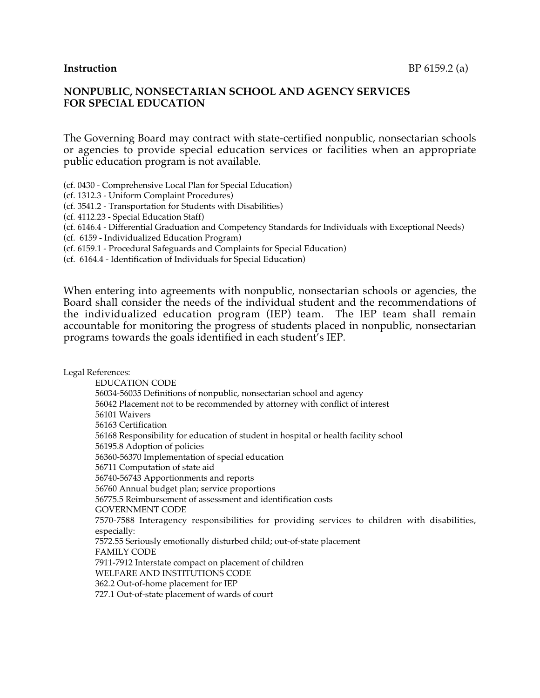#### **NONPUBLIC, NONSECTARIAN SCHOOL AND AGENCY SERVICES FOR SPECIAL EDUCATION**

The Governing Board may contract with state-certified nonpublic, nonsectarian schools or agencies to provide special education services or facilities when an appropriate public education program is not available.

(cf. 0430 - Comprehensive Local Plan for Special Education)

(cf. 1312.3 - Uniform Complaint Procedures)

(cf. 3541.2 - Transportation for Students with Disabilities)

(cf. 4112.23 - Special Education Staff)

(cf. 6146.4 - Differential Graduation and Competency Standards for Individuals with Exceptional Needs)

(cf. 6159 - Individualized Education Program)

(cf. 6159.1 - Procedural Safeguards and Complaints for Special Education)

(cf. 6164.4 - Identification of Individuals for Special Education)

When entering into agreements with nonpublic, nonsectarian schools or agencies, the Board shall consider the needs of the individual student and the recommendations of the individualized education program (IEP) team. The IEP team shall remain accountable for monitoring the progress of students placed in nonpublic, nonsectarian programs towards the goals identified in each student's IEP.

Legal References:

EDUCATION CODE 56034-56035 Definitions of nonpublic, nonsectarian school and agency 56042 Placement not to be recommended by attorney with conflict of interest 56101 Waivers 56163 Certification 56168 Responsibility for education of student in hospital or health facility school 56195.8 Adoption of policies 56360-56370 Implementation of special education 56711 Computation of state aid 56740-56743 Apportionments and reports 56760 Annual budget plan; service proportions 56775.5 Reimbursement of assessment and identification costs GOVERNMENT CODE 7570-7588 Interagency responsibilities for providing services to children with disabilities, especially: 7572.55 Seriously emotionally disturbed child; out-of-state placement FAMILY CODE 7911-7912 Interstate compact on placement of children WELFARE AND INSTITUTIONS CODE 362.2 Out-of-home placement for IEP 727.1 Out-of-state placement of wards of court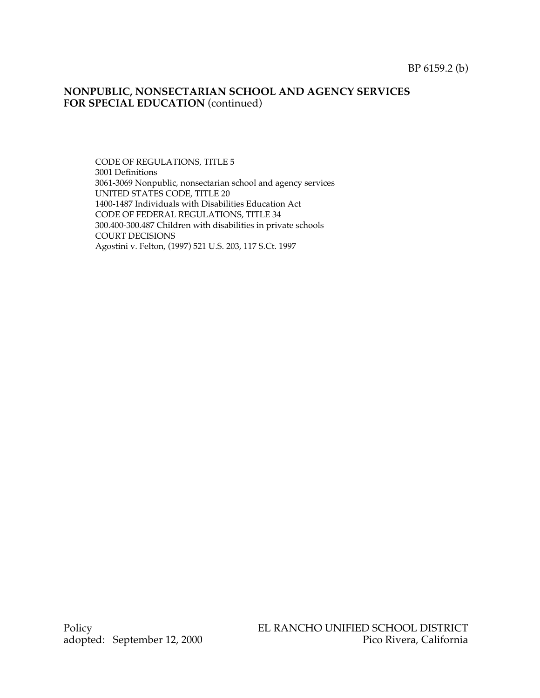## **NONPUBLIC, NONSECTARIAN SCHOOL AND AGENCY SERVICES** FOR SPECIAL EDUCATION (continued)

CODE OF REGULATIONS, TITLE 5 3001 Definitions 3061-3069 Nonpublic, nonsectarian school and agency services UNITED STATES CODE, TITLE 20 1400-1487 Individuals with Disabilities Education Act CODE OF FEDERAL REGULATIONS, TITLE 34 300.400-300.487 Children with disabilities in private schools COURT DECISIONS Agostini v. Felton, (1997) 521 U.S. 203, 117 S.Ct. 1997

adopted: September 12, 2000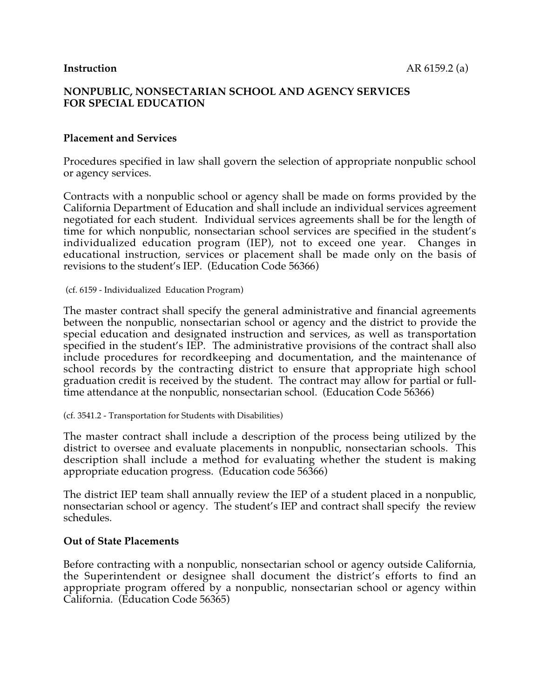# **NONPUBLIC, NONSECTARIAN SCHOOL AND AGENCY SERVICES FOR SPECIAL EDUCATION**

# **Placement and Services**

Procedures specified in law shall govern the selection of appropriate nonpublic school or agency services.

Contracts with a nonpublic school or agency shall be made on forms provided by the California Department of Education and shall include an individual services agreement negotiated for each student. Individual services agreements shall be for the length of time for which nonpublic, nonsectarian school services are specified in the student's individualized education program (IEP), not to exceed one year. Changes in educational instruction, services or placement shall be made only on the basis of revisions to the student's IEP. (Education Code 56366)

(cf. 6159 - Individualized Education Program)

The master contract shall specify the general administrative and financial agreements between the nonpublic, nonsectarian school or agency and the district to provide the special education and designated instruction and services, as well as transportation specified in the student's IEP. The administrative provisions of the contract shall also include procedures for recordkeeping and documentation, and the maintenance of school records by the contracting district to ensure that appropriate high school graduation credit is received by the student. The contract may allow for partial or fulltime attendance at the nonpublic, nonsectarian school. (Education Code 56366)

(cf. 3541.2 - Transportation for Students with Disabilities)

The master contract shall include a description of the process being utilized by the district to oversee and evaluate placements in nonpublic, nonsectarian schools. This description shall include a method for evaluating whether the student is making appropriate education progress. (Education code 56366)

The district IEP team shall annually review the IEP of a student placed in a nonpublic, nonsectarian school or agency. The student's IEP and contract shall specify the review schedules.

#### **Out of State Placements**

Before contracting with a nonpublic, nonsectarian school or agency outside California, the Superintendent or designee shall document the district's efforts to find an appropriate program offered by a nonpublic, nonsectarian school or agency within California. (Education Code 56365)